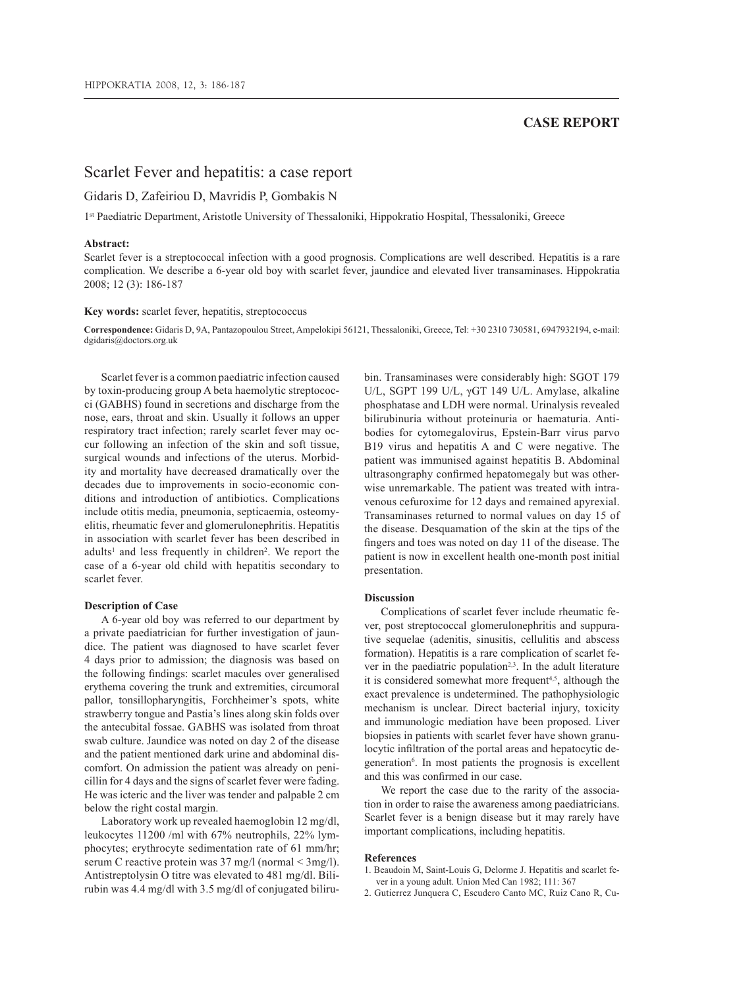# **CASE REPORT**

# Scarlet Fever and hepatitis: a case report

## Gidaris D, Zafeiriou D, Mavridis P, Gombakis N

1st Paediatric Department, Aristotle University of Thessaloniki, Hippokratio Hospital, Thessaloniki, Greece

### **Abstract:**

Scarlet fever is a streptococcal infection with a good prognosis. Complications are well described. Hepatitis is a rare complication. We describe a 6-year old boy with scarlet fever, jaundice and elevated liver transaminases. Hippokratia 2008; 12 (3): 186-187

#### **Key words:** scarlet fever, hepatitis, streptococcus

**Correspondence:** Gidaris D, 9A, Pantazopoulou Street, Ampelokipi 56121, Thessaloniki, Greece, Tel: +30 2310 730581, 6947932194, e-mail: dgidaris@doctors.org.uk

Scarlet fever is a common paediatric infection caused by toxin-producing group A beta haemolytic streptococci (GABHS) found in secretions and discharge from the nose, ears, throat and skin. Usually it follows an upper respiratory tract infection; rarely scarlet fever may occur following an infection of the skin and soft tissue, surgical wounds and infections of the uterus. Morbidity and mortality have decreased dramatically over the decades due to improvements in socio-economic conditions and introduction of antibiotics. Complications include otitis media, pneumonia, septicaemia, osteomyelitis, rheumatic fever and glomerulonephritis. Hepatitis in association with scarlet fever has been described in adults<sup>1</sup> and less frequently in children<sup>2</sup>. We report the case of a 6-year old child with hepatitis secondary to scarlet fever.

### **Description of Case**

A 6-year old boy was referred to our department by a private paediatrician for further investigation of jaundice. The patient was diagnosed to have scarlet fever 4 days prior to admission; the diagnosis was based on the following findings: scarlet macules over generalised erythema covering the trunk and extremities, circumoral pallor, tonsillopharyngitis, Forchheimer's spots, white strawberry tongue and Pastia's lines along skin folds over the antecubital fossae. GABHS was isolated from throat swab culture. Jaundice was noted on day 2 of the disease and the patient mentioned dark urine and abdominal discomfort. On admission the patient was already on penicillin for 4 days and the signs of scarlet fever were fading. He was icteric and the liver was tender and palpable 2 cm below the right costal margin.

Laboratory work up revealed haemoglobin 12 mg/dl, leukocytes 11200 /ml with 67% neutrophils, 22% lymphocytes; erythrocyte sedimentation rate of 61 mm/hr; serum C reactive protein was 37 mg/l (normal < 3mg/l). Antistreptolysin O titre was elevated to 481 mg/dl. Bilirubin was 4.4 mg/dl with 3.5 mg/dl of conjugated bilirubin. Transaminases were considerably high: SGOT 179 U/L, SGPT 199 U/L, γGT 149 U/L. Amylase, alkaline phosphatase and LDH were normal. Urinalysis revealed bilirubinuria without proteinuria or haematuria. Antibodies for cytomegalovirus, Epstein-Barr virus parvo B19 virus and hepatitis A and C were negative. The patient was immunised against hepatitis B. Abdominal ultrasongraphy confirmed hepatomegaly but was otherwise unremarkable. The patient was treated with intravenous cefuroxime for 12 days and remained apyrexial. Transaminases returned to normal values on day 15 of the disease. Desquamation of the skin at the tips of the fingers and toes was noted on day 11 of the disease. The patient is now in excellent health one-month post initial presentation.

#### **Discussion**

Complications of scarlet fever include rheumatic fever, post streptococcal glomerulonephritis and suppurative sequelae (adenitis, sinusitis, cellulitis and abscess formation). Hepatitis is a rare complication of scarlet fever in the paediatric population<sup>2,3</sup>. In the adult literature it is considered somewhat more frequent<sup>4,5</sup>, although the exact prevalence is undetermined. The pathophysiologic mechanism is unclear. Direct bacterial injury, toxicity and immunologic mediation have been proposed. Liver biopsies in patients with scarlet fever have shown granulocytic infiltration of the portal areas and hepatocytic degeneration<sup>6</sup>. In most patients the prognosis is excellent and this was confirmed in our case.

We report the case due to the rarity of the association in order to raise the awareness among paediatricians. Scarlet fever is a benign disease but it may rarely have important complications, including hepatitis.

#### **References**

- 1. Beaudoin M, Saint-Louis G, Delorme J. Hepatitis and scarlet fever in a young adult. Union Med Can 1982; 111: 367
- 2. Gutierrez Junquera C, Escudero Canto MC, Ruiz Cano R, Cu-